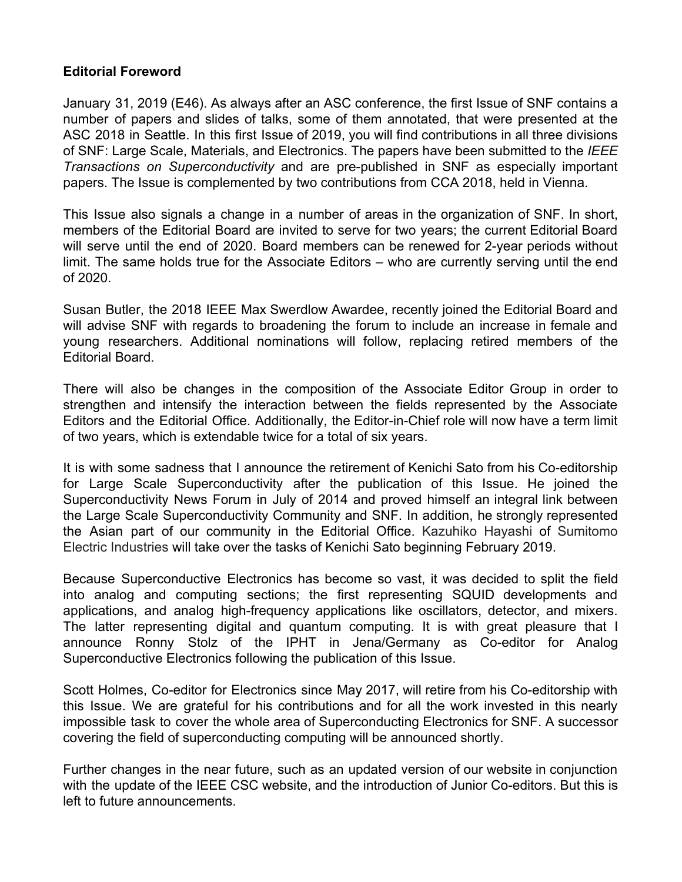## **Editorial Foreword**

January 31, 2019 (E46). As always after an ASC conference, the first Issue of SNF contains a number of papers and slides of talks, some of them annotated, that were presented at the ASC 2018 in Seattle. In this first Issue of 2019, you will find contributions in all three divisions of SNF: Large Scale, Materials, and Electronics. The papers have been submitted to the *IEEE Transactions on Superconductivity* and are pre-published in SNF as especially important papers. The Issue is complemented by two contributions from CCA 2018, held in Vienna.

This Issue also signals a change in a number of areas in the organization of SNF. In short, members of the Editorial Board are invited to serve for two years; the current Editorial Board will serve until the end of 2020. Board members can be renewed for 2-year periods without limit. The same holds true for the Associate Editors – who are currently serving until the end of 2020.

Susan Butler, the 2018 IEEE Max Swerdlow Awardee, recently joined the Editorial Board and will advise SNF with regards to broadening the forum to include an increase in female and young researchers. Additional nominations will follow, replacing retired members of the Editorial Board.

There will also be changes in the composition of the Associate Editor Group in order to strengthen and intensify the interaction between the fields represented by the Associate Editors and the Editorial Office. Additionally, the Editor-in-Chief role will now have a term limit of two years, which is extendable twice for a total of six years.

It is with some sadness that I announce the retirement of Kenichi Sato from his Co-editorship for Large Scale Superconductivity after the publication of this Issue. He joined the Superconductivity News Forum in July of 2014 and proved himself an integral link between the Large Scale Superconductivity Community and SNF. In addition, he strongly represented the Asian part of our community in the Editorial Office. Kazuhiko Hayashi of Sumitomo Electric Industries will take over the tasks of Kenichi Sato beginning February 2019.

Because Superconductive Electronics has become so vast, it was decided to split the field into analog and computing sections; the first representing SQUID developments and applications, and analog high-frequency applications like oscillators, detector, and mixers. The latter representing digital and quantum computing. It is with great pleasure that I announce Ronny Stolz of the IPHT in Jena/Germany as Co-editor for Analog Superconductive Electronics following the publication of this Issue.

Scott Holmes, Co-editor for Electronics since May 2017, will retire from his Co-editorship with this Issue. We are grateful for his contributions and for all the work invested in this nearly impossible task to cover the whole area of Superconducting Electronics for SNF. A successor covering the field of superconducting computing will be announced shortly.

Further changes in the near future, such as an updated version of our website in conjunction with the update of the IEEE CSC website, and the introduction of Junior Co-editors. But this is left to future announcements.